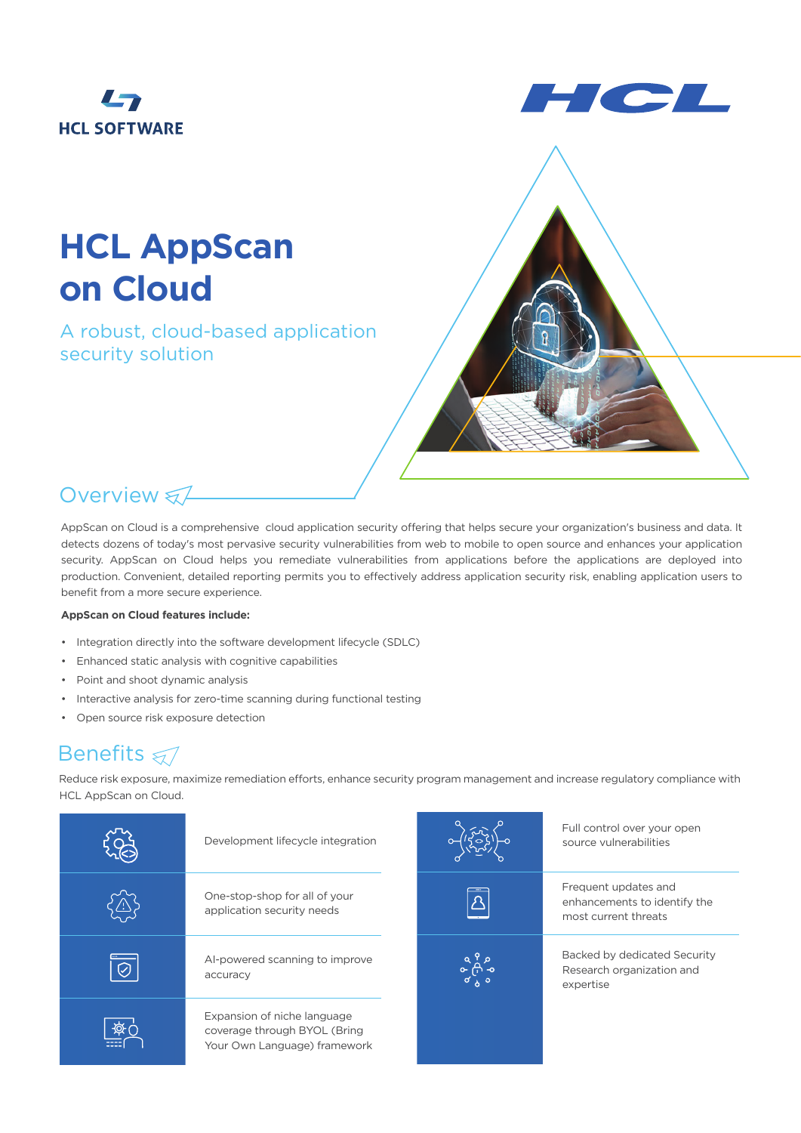



# **HCL AppScan on Cloud**

A robust, cloud-based application security solution



## Overview &

AppScan on Cloud is a comprehensive cloud application security offering that helps secure your organization's business and data. It detects dozens of today's most pervasive security vulnerabilities from web to mobile to open source and enhances your application security. AppScan on Cloud helps you remediate vulnerabilities from applications before the applications are deployed into production. Convenient, detailed reporting permits you to effectively address application security risk, enabling application users to benefit from a more secure experience.

### **AppScan on Cloud features include:**

- Integration directly into the software development lifecycle (SDLC)
- Enhanced static analysis with cognitive capabilities
- Point and shoot dynamic analysis
- Interactive analysis for zero-time scanning during functional testing
- Open source risk exposure detection

### **Benefits** ₹

Reduce risk exposure, maximize remediation efforts, enhance security program management and increase regulatory compliance with HCL AppScan on Cloud.

|         | Development lifecycle integration                                                           |                         | Full control over your open<br>source vulnerabilities                        |
|---------|---------------------------------------------------------------------------------------------|-------------------------|------------------------------------------------------------------------------|
|         | One-stop-shop for all of your<br>application security needs                                 | $\overline{\mathbf{A}}$ | Frequent updates and<br>enhancements to identify the<br>most current threats |
| $\odot$ | Al-powered scanning to improve<br>accuracy                                                  |                         | Backed by dedicated Security<br>Research organization and<br>expertise       |
| ক্টন    | Expansion of niche language<br>coverage through BYOL (Bring<br>Your Own Language) framework |                         |                                                                              |